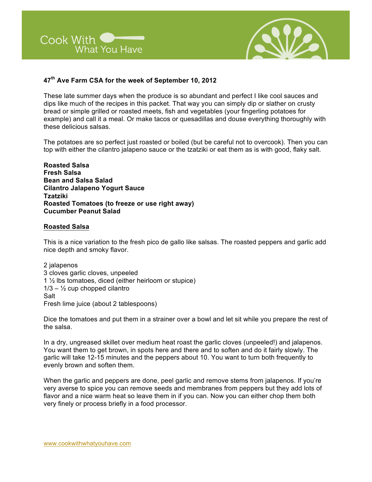



## **47th Ave Farm CSA for the week of September 10, 2012**

These late summer days when the produce is so abundant and perfect I like cool sauces and dips like much of the recipes in this packet. That way you can simply dip or slather on crusty bread or simple grilled or roasted meets, fish and vegetables (your fingerling potatoes for example) and call it a meal. Or make tacos or quesadillas and douse everything thoroughly with these delicious salsas.

The potatoes are so perfect just roasted or boiled (but be careful not to overcook). Then you can top with either the cilantro jalapeno sauce or the tzatziki or eat them as is with good, flaky salt.

**Roasted Salsa Fresh Salsa Bean and Salsa Salad Cilantro Jalapeno Yogurt Sauce Tzatziki Roasted Tomatoes (to freeze or use right away) Cucumber Peanut Salad**

### **Roasted Salsa**

This is a nice variation to the fresh pico de gallo like salsas. The roasted peppers and garlic add nice depth and smoky flavor.

2 jalapenos 3 cloves garlic cloves, unpeeled 1 ½ lbs tomatoes, diced (either heirloom or stupice)  $1/3 - \frac{1}{2}$  cup chopped cilantro Salt Fresh lime juice (about 2 tablespoons)

Dice the tomatoes and put them in a strainer over a bowl and let sit while you prepare the rest of the salsa.

In a dry, ungreased skillet over medium heat roast the garlic cloves (unpeeled!) and jalapenos. You want them to get brown, in spots here and there and to soften and do it fairly slowly. The garlic will take 12-15 minutes and the peppers about 10. You want to turn both frequently to evenly brown and soften them.

When the garlic and peppers are done, peel garlic and remove stems from jalapenos. If you're very averse to spice you can remove seeds and membranes from peppers but they add lots of flavor and a nice warm heat so leave them in if you can. Now you can either chop them both very finely or process briefly in a food processor.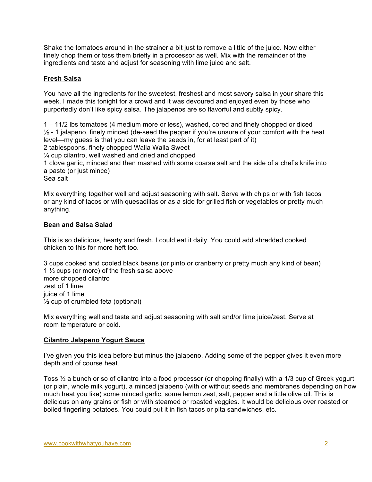Shake the tomatoes around in the strainer a bit just to remove a little of the juice. Now either finely chop them or toss them briefly in a processor as well. Mix with the remainder of the ingredients and taste and adjust for seasoning with lime juice and salt.

# **Fresh Salsa**

You have all the ingredients for the sweetest, freshest and most savory salsa in your share this week. I made this tonight for a crowd and it was devoured and enjoyed even by those who purportedly don't like spicy salsa. The jalapenos are so flavorful and subtly spicy.

1 – 11/2 lbs tomatoes (4 medium more or less), washed, cored and finely chopped or diced  $\frac{1}{2}$  - 1 jalapeno, finely minced (de-seed the pepper if you're unsure of your comfort with the heat level—my guess is that you can leave the seeds in, for at least part of it) 2 tablespoons, finely chopped Walla Walla Sweet ¼ cup cilantro, well washed and dried and chopped 1 clove garlic, minced and then mashed with some coarse salt and the side of a chef's knife into a paste (or just mince) Sea salt

Mix everything together well and adjust seasoning with salt. Serve with chips or with fish tacos or any kind of tacos or with quesadillas or as a side for grilled fish or vegetables or pretty much anything.

### **Bean and Salsa Salad**

This is so delicious, hearty and fresh. I could eat it daily. You could add shredded cooked chicken to this for more heft too.

3 cups cooked and cooled black beans (or pinto or cranberry or pretty much any kind of bean) 1 ½ cups (or more) of the fresh salsa above more chopped cilantro zest of 1 lime juice of 1 lime  $\frac{1}{2}$  cup of crumbled feta (optional)

Mix everything well and taste and adjust seasoning with salt and/or lime juice/zest. Serve at room temperature or cold.

## **Cilantro Jalapeno Yogurt Sauce**

I've given you this idea before but minus the jalapeno. Adding some of the pepper gives it even more depth and of course heat.

Toss ½ a bunch or so of cilantro into a food processor (or chopping finally) with a 1/3 cup of Greek yogurt (or plain, whole milk yogurt), a minced jalapeno (with or without seeds and membranes depending on how much heat you like) some minced garlic, some lemon zest, salt, pepper and a little olive oil. This is delicious on any grains or fish or with steamed or roasted veggies. It would be delicious over roasted or boiled fingerling potatoes. You could put it in fish tacos or pita sandwiches, etc.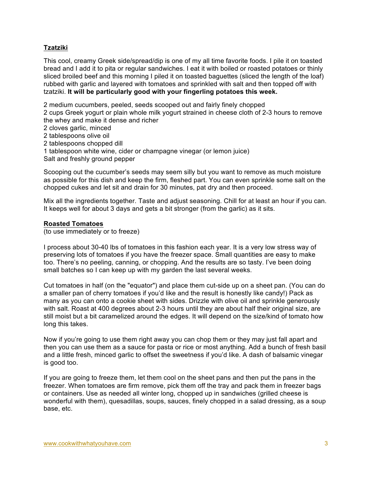# **Tzatziki**

This cool, creamy Greek side/spread/dip is one of my all time favorite foods. I pile it on toasted bread and I add it to pita or regular sandwiches. I eat it with boiled or roasted potatoes or thinly sliced broiled beef and this morning I piled it on toasted baguettes (sliced the length of the loaf) rubbed with garlic and layered with tomatoes and sprinkled with salt and then topped off with tzatziki. **It will be particularly good with your fingerling potatoes this week.**

2 medium cucumbers, peeled, seeds scooped out and fairly finely chopped

2 cups Greek yogurt or plain whole milk yogurt strained in cheese cloth of 2-3 hours to remove the whey and make it dense and richer

2 cloves garlic, minced

2 tablespoons olive oil

- 2 tablespoons chopped dill
- 1 tablespoon white wine, cider or champagne vinegar (or lemon juice)
- Salt and freshly ground pepper

Scooping out the cucumber's seeds may seem silly but you want to remove as much moisture as possible for this dish and keep the firm, fleshed part. You can even sprinkle some salt on the chopped cukes and let sit and drain for 30 minutes, pat dry and then proceed.

Mix all the ingredients together. Taste and adjust seasoning. Chill for at least an hour if you can. It keeps well for about 3 days and gets a bit stronger (from the garlic) as it sits.

### **Roasted Tomatoes**

(to use immediately or to freeze)

I process about 30-40 lbs of tomatoes in this fashion each year. It is a very low stress way of preserving lots of tomatoes if you have the freezer space. Small quantities are easy to make too. There's no peeling, canning, or chopping. And the results are so tasty. I've been doing small batches so I can keep up with my garden the last several weeks.

Cut tomatoes in half (on the "equator") and place them cut-side up on a sheet pan. (You can do a smaller pan of cherry tomatoes if you'd like and the result is honestly like candy!) Pack as many as you can onto a cookie sheet with sides. Drizzle with olive oil and sprinkle generously with salt. Roast at 400 degrees about 2-3 hours until they are about half their original size, are still moist but a bit caramelized around the edges. It will depend on the size/kind of tomato how long this takes.

Now if you're going to use them right away you can chop them or they may just fall apart and then you can use them as a sauce for pasta or rice or most anything. Add a bunch of fresh basil and a little fresh, minced garlic to offset the sweetness if you'd like. A dash of balsamic vinegar is good too.

If you are going to freeze them, let them cool on the sheet pans and then put the pans in the freezer. When tomatoes are firm remove, pick them off the tray and pack them in freezer bags or containers. Use as needed all winter long, chopped up in sandwiches (grilled cheese is wonderful with them), quesadillas, soups, sauces, finely chopped in a salad dressing, as a soup base, etc.